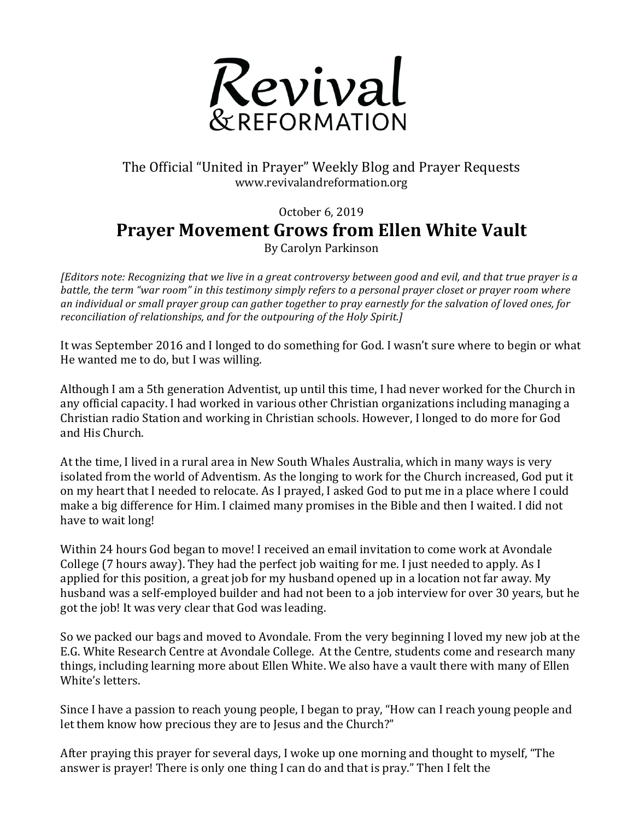

## The Official "United in Prayer" Weekly Blog and Prayer Requests www.revivalandreformation.org

October 6, 2019

## **Prayer Movement Grows from Ellen White Vault**

By Carolyn Parkinson

*[Editors note: Recognizing that we live in a great controversy between good and evil, and that true prayer is a battle,* the term "war room" in this testimony simply refers to a personal prayer closet or prayer room where *an* individual or small prayer group can gather together to pray earnestly for the salvation of loved ones, for *reconciliation of relationships, and for the outpouring of the Holy Spirit.]* 

It was September 2016 and I longed to do something for God. I wasn't sure where to begin or what He wanted me to do, but I was willing.

Although I am a 5th generation Adventist, up until this time, I had never worked for the Church in any official capacity. I had worked in various other Christian organizations including managing a Christian radio Station and working in Christian schools. However, I longed to do more for God and His Church.

At the time, I lived in a rural area in New South Whales Australia, which in many ways is very isolated from the world of Adventism. As the longing to work for the Church increased, God put it on my heart that I needed to relocate. As I prayed, I asked God to put me in a place where I could make a big difference for Him. I claimed many promises in the Bible and then I waited. I did not have to wait long!

Within 24 hours God began to move! I received an email invitation to come work at Avondale College (7 hours away). They had the perfect job waiting for me. I just needed to apply. As I applied for this position, a great job for my husband opened up in a location not far away. My husband was a self-employed builder and had not been to a job interview for over 30 years, but he got the job! It was very clear that God was leading.

So we packed our bags and moved to Avondale. From the very beginning I loved my new job at the E.G. White Research Centre at Avondale College. At the Centre, students come and research many things, including learning more about Ellen White. We also have a vault there with many of Ellen White's letters.

Since I have a passion to reach young people, I began to pray, "How can I reach young people and let them know how precious they are to Jesus and the Church?"

After praying this prayer for several days, I woke up one morning and thought to myself, "The answer is prayer! There is only one thing I can do and that is pray." Then I felt the